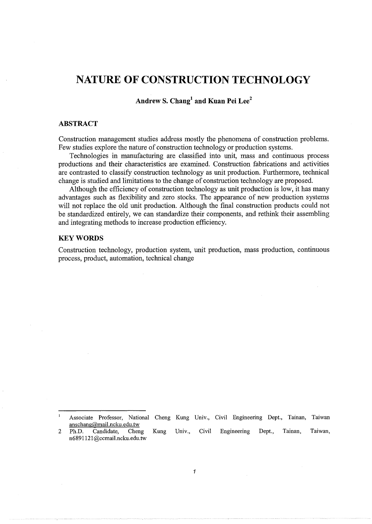# **NATURE OF CONSTRUCTION TECHNOLOGY**

**Andrew S. Chang<sup>1</sup>and Kuan Pei Lee<sup>2</sup>**

#### **ABSTRACT**

Construction management studies address mostly the phenomena of construction problems. Few studies explore the nature of construction technology or production systems.

Technologies in manufacturing are classified into unit, mass and continuous process productions and their characteristics are examined. Construction fabrications and activities are contrasted to classify construction technology as unit production. Furthermore, technical change is studied and limitations to the change of construction technology are proposed.

Although the efficiency of construction technology as unit production is low, it has many advantages such as flexibility and zero stocks. The appearance of new production systems will not replace the old unit production. Although the final construction products could not be standardized entirely, we can standardize their components, and rethink their assembling and integrating methods to increase production efficiency.

#### **KEYWORDS**

Construction technology, production system, unit production, mass production, continuous process, product, automation, technical change

 $\mathbf{I}$ Associate Professor, National Cheng Kung Univ., Civil Engineering Dept., Tainan, Taiwan anschang@mail.ncku.edu.tw

<sup>2</sup> Ph.D. Candidate, Cheng Kung Univ., Civil Engineering Dept., Tainan, Taiwan, n6891121 @ccmail.ncku.edu. tw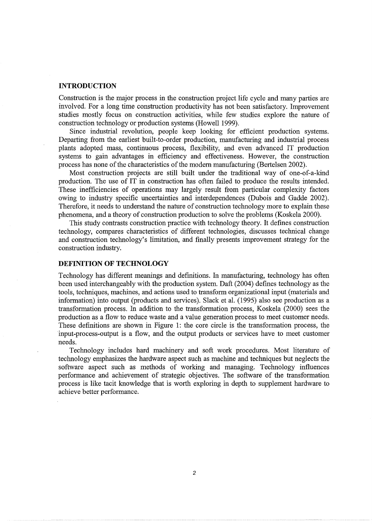# **INTRODUCTION**

Construction is the major process in the construction project life cycle and many parties are involved. For a long time construction productivity has not been satisfactory. Improvement studies mostly focus on construction activities, while few studies explore the nature of construction technology or production systems (Howell 1999).

Since industrial revolution, people keep looking for efficient production systems. Departing from the earliest built-to-order production, manufacturing and industrial process plants adopted mass, continuous process, flexibility, and even advanced IT production systems to gain advantages in efficiency and effectiveness. However, the construction process has none of the characteristics of the modern manufacturing (Bertelsen 2002).

Most construction projects are still built under the traditional way of one-of-a-kind production. The use of IT in construction has often failed to produce the results intended. These inefficiencies of operations may largely result from particular complexity factors owing to industry specific uncertainties and interdependences (Dubois and Gadde 2002). Therefore, it needs to understand the nature of construction technology more to explain these phenomena, and a theory of construction production to solve the problems (Koskela 2000).

This study contrasts construction practice with technology theory. It defines construction technology, compares characteristics of different technologies, discusses technical change and construction technology's limitation, and finally presents improvement strategy for the construction industry.

## **DEFINITION OF TECHNOLOGY**

Technology has different meanings and definitions. In manufacturing, technology has often been used interchangeably with the production system. Daft (2004) defines technology as the tools, techniques, machines, and actions used to transform organizational input (materials and information) into output (products and services). Slack et al. (1995) also see production as a transformation process. In addition to the transformation process, Koskela (2000) sees the production as a flow to reduce waste and a value generation process to meet customer needs. These definitions are shown in Figure 1: the core circle is the transformation process, the input-process-output is a flow, and the output products or services have to meet customer needs.

Technology includes hard machinery and soft work procedures. Most literature of technology emphasizes the hardware aspect such as machine and techniques but neglects the software aspect such as methods of working and managing. Technology influences performance and achievement of strategic objectives. The software of the transformation process is like tacit knowledge that is worth exploring in depth to supplement hardware to achieve better performance.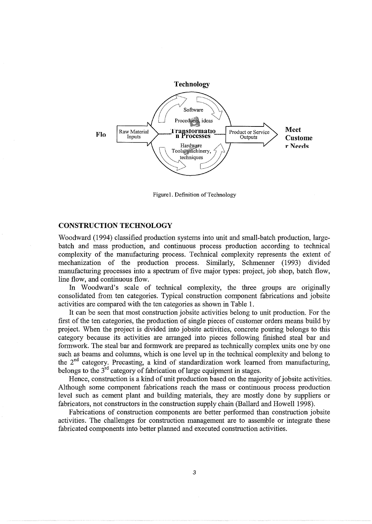

Figurel. Definition of Technology

## **CONSTRUCTION TECHNOLOGY**

Woodward (1994) classified production systems into unit and small-batch production, largebatch and mass production, and continuous process production according to technical complexity of the manufacturing process. Technical complexity represents the extent of mechanization of the production process. Similarly, Schmenner (1993) divided manufacturing processes into a spectrum of five major types: project, job shop, batch flow, line flow, and continuous flow.

In Woodward's scale of technical complexity, the three groups are originally consolidated from ten categories. Typical construction component fabrications and jobsite activities are compared with the ten categories as shown in Table 1.

It can be seen that most construction jobsite activities belong to unit production. For the first of the ten categories, the production of single pieces of customer orders means build by project. When the project is divided into jobsite activities, concrete pouring belongs to this category because its activities are arranged into pieces following finished steal bar and formwork. The steal bar and formwork are prepared as technically complex units one by one such as beams and columns, which is one level up in the technical complexity and belong to the  $2<sup>nd</sup>$  category. Precasting, a kind of standardization work learned from manufacturing, belongs to the  $3^{rd}$  category of fabrication of large equipment in stages.

Hence, construction is a kind of unit production based on the majority of jobsite activities. Although some component fabrications reach the mass or continuous process production level such as cement plant and building materials, they are mostly done by suppliers or fabricators, not constructors in the construction supply chain (Ballard and Howell 1998).

Fabrications of construction components are better performed than construction jobsite activities. The challenges for construction management are to assemble or integrate these fabricated components into better planned and executed construction activities.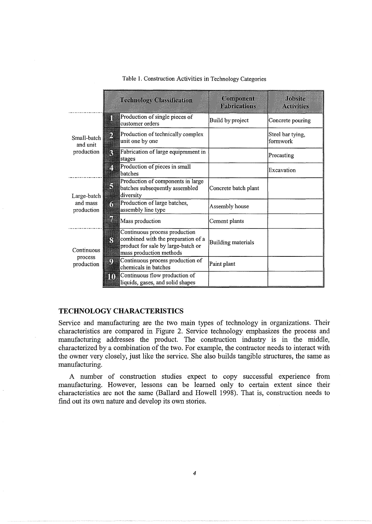|                                       | <b>Technology Classification</b>                                                                                                          | Component<br><b>Fabrications</b> | Jobsite<br><b>Activities</b> |
|---------------------------------------|-------------------------------------------------------------------------------------------------------------------------------------------|----------------------------------|------------------------------|
| Small-batch<br>and unit<br>production | Production of single pieces of<br>Π<br>customer orders                                                                                    | Build by project                 | Concrete pouring             |
|                                       | Production of technically complex<br>2<br>unit one by one                                                                                 |                                  | Steel bar tying,<br>formwork |
|                                       | Fabrication of large equipmment in<br>B<br>stages                                                                                         |                                  | Precasting                   |
|                                       | Production of pieces in small<br>Ø<br>batches                                                                                             |                                  | Excavation                   |
| Large-batch<br>and mass<br>production | Production of components in large<br>3<br>batches subsequently assembled<br>diversity                                                     | Concrete batch plant             |                              |
|                                       | Production of large batches,<br>n<br>assembly line type                                                                                   | Assembly house                   |                              |
|                                       | m<br>Mass production                                                                                                                      | Cement plants                    |                              |
| Continuous<br>process<br>production   | Continuous process production<br>combined with the preparation of a<br>ß<br>product for sale by large-batch or<br>mass production methods | Building materials               |                              |
|                                       | Continuous process production of<br>O<br>chemicals in batches                                                                             | Paint plant                      |                              |
|                                       | Continuous flow production of<br>m<br>liquids, gases, and solid shapes                                                                    |                                  |                              |

### Table 1. Construction Activities in Technology Categories

## **TECHNOLOGY CHARACTERISTICS**

Service and manufacturing are the two main types of technology in organizations. Their characteristics are compared in Figure 2. Service technology emphasizes the process and manufacturing addresses the product. The construction industry is in the middle, characterized by a combination of the two. For example, the contractor needs to interact with the owner very closely, just like the service. She also builds tangible structures, the same as manufacturing.

A number of construction studies expect to copy successful experience from manufacturing. However, lessons can be learned only to certain extent since their characteristics are not the same (Ballard and Howell 1998). That is, construction needs to find out its own nature and develop its own stories.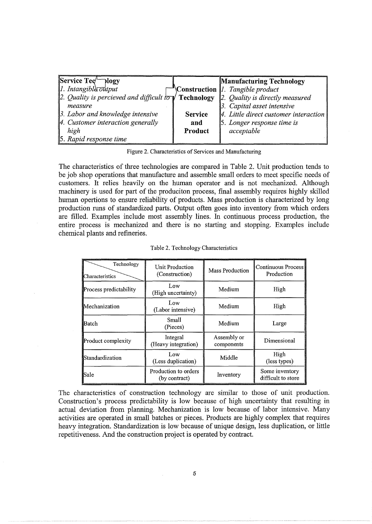| $\sqrt{\text{Service Teq}}$ logy                                                                 |                | <b>Manufacturing Technology</b>       |
|--------------------------------------------------------------------------------------------------|----------------|---------------------------------------|
| $\ I.$ Intangible $\overrightarrow{out}$ put                                                     |                | Construction 1. Tangible product      |
| 2. Quality is percieved and difficult $\sigma$ <b>Technology</b> 2. Quality is directly measured |                |                                       |
| measure                                                                                          |                | 3. Capital asset intensive            |
| 3. Labor and knowledge intensive                                                                 | <b>Service</b> | 4. Little direct customer interaction |
| 4. Customer interaction generally                                                                | and            | 5. Longer response time is            |
| high                                                                                             | Product        | acceptable                            |
| 5. Rapid response time                                                                           |                |                                       |

Figure 2. Characteristics of Services and Manufacturing

The characteristics of three technologies are compared in Table 2. Unit production tends to be job shop operations that manufacture and assemble small orders to meet specific needs of customers. It relies heavily on the human operator and is not mechanized. Although machinery is used for part of the produciton process, final assembly requires highly skilled human opertions to ensure reliability of products. Mass production is characterized by long production runs of standardized parts. Output often goes into inventory from which orders are filled. Examples include most assembly lines. In continuous process production, the entire process is mechanized and there is no starting and stopping. Examples include chemical plants and refmeries.

| Table 2. Technology Characteristics |                                       |                           |                                      |  |  |
|-------------------------------------|---------------------------------------|---------------------------|--------------------------------------|--|--|
| Technology<br>Characteristics       | Unit Production<br>(Construction)     | Mass Production           | Continuous Process<br>Production     |  |  |
| Process predictability              | Low<br>(High uncertainty)             | Medium                    | High                                 |  |  |
| Mechanization                       | Low<br>(Labor intensive)              | Medium                    | High                                 |  |  |
| Batch                               | Small<br>(Pieces)                     | Medium                    | Large                                |  |  |
| Product complexity                  | Integral<br>(Heavy integration)       | Assembly or<br>components | Dimensional                          |  |  |
| Standardization                     | Low<br>(Less duplication)             | Middle                    | High<br>(less types)                 |  |  |
| Sale                                | Production to orders<br>(by contract) | Inventory                 | Some inventory<br>difficult to store |  |  |

|  |  |  | Table 2. Technology Characteristics |
|--|--|--|-------------------------------------|
|--|--|--|-------------------------------------|

The characteristics of construction technology are similar to those of unit production. Construction's process predictability is low because of high uncertainty that resulting in actual deviation from planning. Mechanization is low because of labor intensive. Many activities are operated in small batches or pieces. Products are highly complex that requires heavy integration. Standardization is low because of unique design, less duplication, or little repetitiveness. And the construction project is operated by contract.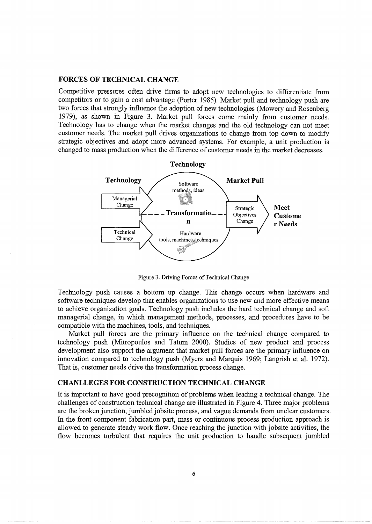#### FORCES OF TECHNICAL CHANGE

Competitive pressures often drive firms to adopt new technologies to differentiate from competitors or to gain a cost advantage (Porter 1985). Market pull and technology push are two forces that strongly influence the adoption of new technologies (Mowery and Rosenberg 1979), as shown in Figure 3. Market pull forces come mainly from customer needs. Technology has to change when the market changes and the old technology can not meet customer needs. The market pull drives organizations to change from top down to modify strategic objectives and adopt more advanced systems. For example, a unit production is changed to mass production when the difference of customer needs in the market decreases.



Figure 3. Driving Forces of Technical Change

Technology push causes a bottom up change. This change occurs when hardware and software techniques develop that enables organizations to use new and more effective means to achieve organization goals. Technology push includes the hard technical change and soft managerial change, in which management methods, processes, and procedures have to be compatible with the machines, tools, and techniques.

Market pull forces are the primary influence on the technical change compared to technology push (Mitropoulos and Tatum 2000). Studies of new product and process development also support the argument that market pull forces are the primary influence on innovation compared to technology push (Myers and Marquis 1969; Langrish et al. 1972). That is, customer needs drive the transformation process change.

# CHANLLEGES FOR CONSTRUCTION TECHNICAL CHANGE

It is important to have good precognition of problems when leading a technical change. The challenges of construction technical change are illustrated in Figure 4. Three major problems are the broken junction, jumbled jobsite process, and vague demands from unclear customers. In the front component fabrication part, mass or continuous process production approach is allowed to generate steady work flow. Once reaching the junction with jobsite activities, the flow becomes turbulent that requires the unit production to handle subsequent jumbled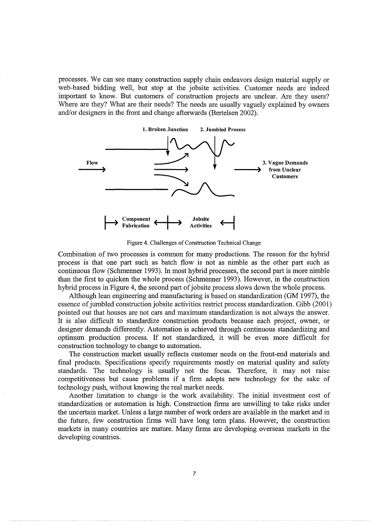processes. We can see many construction supply chain endeavors design material supply or web-based bidding well, but stop at the jobsite activities. Customer needs are indeed important to know. But customers of construction projects are unclear. Are they users? Where are they? What are their needs? The needs are usually vaguely explained by owners and/or designers in the front and change afterwards (Bertelsen 2002).



Figure 4. Challenges of Construction Technical Change

Combination of two processes is common for many productions. The reason for the hybrid process is that one part such as batch flow is not as nimble as the other part such as continuous flow (Schmenner 1993). In most hybrid processes, the second part is more nimble than the first to quicken the whole process (Schmenner 1993). However, in the construction hybrid process in Figure 4, the second part of jobsite process slows down the whole process.

Although lean engineering and manufacturing is based on standardization (GM 1997), the essence of jumbled construction jobsite activities restrict process standardization. Gibb (2001) pointed out that houses are not cars and maximum standardization is not always the answer. It is also difficult to standardize construction products because each project, owner, or designer demands differently. Automation is achieved through continuous standardizing and optimum production process. If not standardized, it will be even more difficult for construction technology to change to automation.

The construction market usually reflects customer needs on the front-end materials and final products. Specifications specify requirements mostly on material quality and safety standards. The technology is usually not the focus. Therefore, it may not raise competitiveness but cause problems if a firm adopts new technology for the sake of technology push, without knowing the real market needs.

Another limitation to change is the work availability. The initial investment cost of standardization or automation is high. Construction firms are unwilling to take risks under the uncertain market. Unless a large number of work orders are available in the market and in the future, few construction firms will have long term plans. However, the construction markets in many countries are mature. Many firms are developing overseas markets in the developing countries.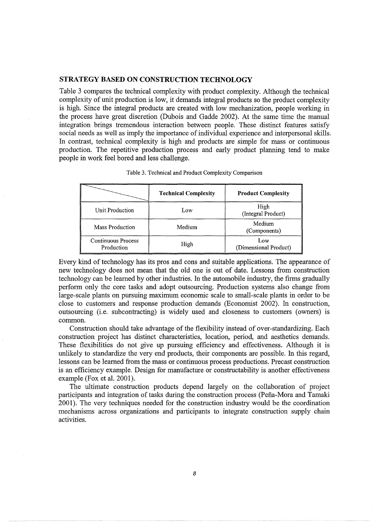## STRATEGY BASED ON CONSTRUCTION TECHNOLOGY

Table 3 compares the technical complexity with product complexity. Although the technical complexity of unit production is low, it demands integral products so the product complexity is high. Since the integral products are created with low mechanization, people working in the process have great discretion (Dubois and Gadde 2002). At the same time the manual integration brings tremendous interaction between people. These distinct features satisfy social needs as well as imply the importance of individual experience and interpersonal skills. In contrast, technical complexity is high and products are simple for mass or continuous production. The repetitive production process and early product planning tend to make people in work feel bored and less challenge.

| in work feel bored and less challenge.  | Table 3. Technical and Product Complexity Comparison |                              |
|-----------------------------------------|------------------------------------------------------|------------------------------|
|                                         | <b>Technical Complexity</b>                          | <b>Product Complexity</b>    |
| Unit Production                         | Low                                                  | High<br>(Integral Product)   |
| Mass Production                         | Medium                                               | Medium<br>(Components)       |
| <b>Continuous Process</b><br>Production | High                                                 | Low<br>(Dimensional Product) |

Table 3. Technical and Product Complexity Comparison

Every kind of technology has its pros and cons and suitable applications. The appearance of new technology does not mean that the old one is out of date. Lessons from construction technology can be learned by other industries. In the automobile industry, the firms gradually perform only the core tasks and adopt outsourcing. Production systems also change from large-scale plants on pursuing maximum economic scale to small-scale plants in order to be close to customers and response production demands (Economist 2002). In construction, outsourcing (i.e. subcontracting) is widely used and closeness to customers (owners) is common.

Construction should take advantage of the flexibility instead of over-standardizing. Each construction project has distinct characteristics, location, period, and aesthetics demands. These flexibilities do not give up pursuing efficiency and effectiveness. Although it is unlikely to standardize the very end products, their components are possible. In this regard, lessons can be learned from the mass or continuous process productions. Precast construction is an efficiency example. Design for manufacture or constructability is another effectiveness example (Fox et al. 2001).

The ultimate construction products depend largely on the collaboration of project participants and integration of tasks during the construction process (Pefia-Mora and Tamaki 2001). The very techniques needed for the construction industry would be the coordination mechanisms across organizations and participants to integrate construction supply chain activities.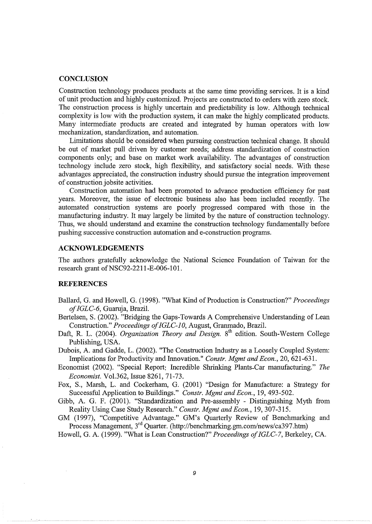## **CONCLUSION**

Construction technology produces products at the same time providing services. It is a kind of unit production and highly customized. Projects are constructed to orders with zero stock. The construction process is highly uncertain and predictability is low. Although technical complexity is low with the production system, it can make the highly complicated products. Many intermediate products are created and integrated by human operators with low mechanization, standardization, and automation.

Limitations should be considered when pursuing construction technical change. It should be out of market pull driven by customer needs; address standardization of construction components only; and base on market work availability. The advantages of construction technology include zero stock, high flexibility, and satisfactory social needs. With these advantages appreciated, the construction industry should pursue the integration improvement of construction jobsite activities.

Construction automation had been promoted to advance production efficiency for past years. Moreover, the issue of electronic business also has been included recently. The automated construction systems are poorly progressed compared with those in the manufacturing industry. It may largely be limited by the nature of construction technology. Thus, we should understand and examine the construction technology fundamentally before pushing successive construction automation and e-construction programs.

#### **ACKNOWLEDGEMENTS**

The authors gratefully acknowledge the National Science Foundation of Taiwan for the research grant of NSC92-2211-E-006-101.

## **REFERENCES**

- Ballard, G. and Howell, G. (1998). "What Kind of Production is Construction?" *Proceedings of IGLC-6,* Guaruja, Brazil.
- Bertelsen, S. (2002). "Bridging the Gaps-Towards A Comprehensive Understanding of Lean Construction." Proceedings of IGLC-10, August, Granmado, Brazil.
- Daft, R. L. (2004). *Organization Theory and Design*. 8<sup>th</sup> edition. South-Western College Publishing, USA.

Dubois, A. and Gadde, L. (2002). "The Construction Industry as a Loosely Coupled System: Implications for Productivity and Innovation." *Constr. Mgmt and Econ.,* 20, 621-631.

Economist (2002). "Special Report: Incredible Shrinking Plants-Car manufacturing." *The Economist.* Vol.362, Issue 8261, 71-73.

Fox, S., Marsh, L. and Cockerham, G. (2001) "Design for Manufacture: a Strategy for Successful Application to Buildings." *Constr. Mgmt and Econ.,* 19, 493-502.

Gibb, A. G. F. (2001). "Standardization and Pre-assembly - Distinguishing Myth from Reality Using Case Study Research." *Constr. Mgmt and Econ.,* 19, 307-315.

GM (1997), "Competitive Advantage." GM's Quarterly Review of Benchmarking and Process Management,  $3<sup>rd</sup>$  Quarter. (http://benchmarking.gm.com/news/ca397.htm)

Howell, G. A. (1999). "What is Lean Construction?" *Proceedings of!GLC-7,* Berkeley, CA.